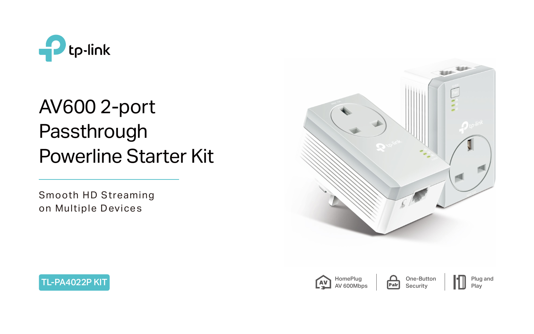







# AV600 2-port Passthrough Powerline Starter Kit

One-Button **Security** 

**HomePlug** AV 600Mbps



Smooth HD Streaming on Multiple Devices

Plug and

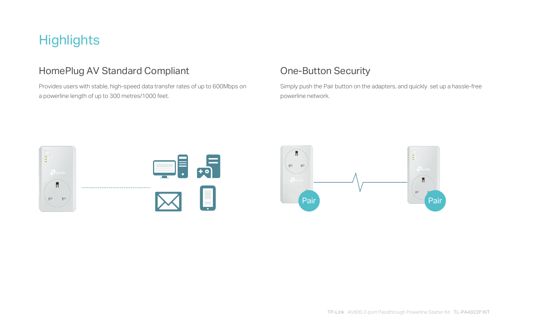## **Highlights**

## HomePlug AV Standard Compliant **Compliant** One-Button Security

Provides users with stable, high-speed data transfer rates of up to 600Mbps on a powerline length of up to 300 metres/1000 feet.

Simply push the Pair button on the adapters, and quickly set up a hassle-free

powerline network.



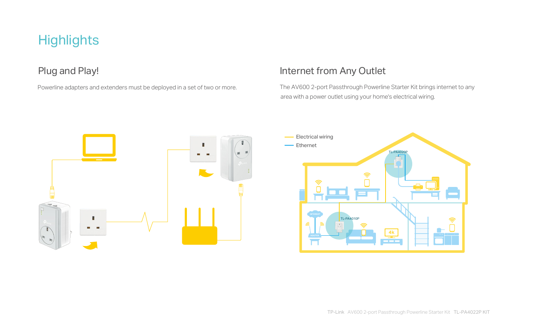

 The AV600 2-port Passthrough Powerline Starter Kit brings internet to any area with a power outlet using your home's electrical wiring.

## **Highlights**

Powerline adapters and extenders must be deployed in a set of two or more.

## Plug and Play! Internet from Any Outlet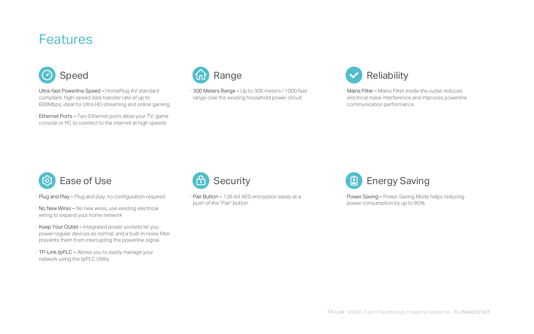- · Plug and Play Plug and play, no configuration required
- · No New Wires No new wires, use existing electrical wiring to expand your home network
- · Keep Your Outlet Integrated power sockets let you power regular devices as normal, and a built-in noise filter prevents them from interrupting the powerline signal.
- · TP-Link tpPLC Allows you to easily manage your network using the tpPLC Utility



· Pair Button – 128-bit AES encryption easily at a push of the "Pair" button



· Power Saving – Power Saving Mode helps reducing power consumption by up to 85%

- · Ultra-fast Powerline Speed HomePlug AV standard compliant, high-speed data transfer rate of up to 600Mbps, ideal for Ultra HD streaming and online gaming
- · Ethernet Ports Two Ethernet ports allow your TV, game console or PC to connect to the internet at high speeds



· 300 Meters Range – Up to 300 meters / 1000 feet range over the existing household power circuit.





· Mains Filter – Mains Filter inside the outlet reduces electrical noise interference and improves powerline communication performance

## Features